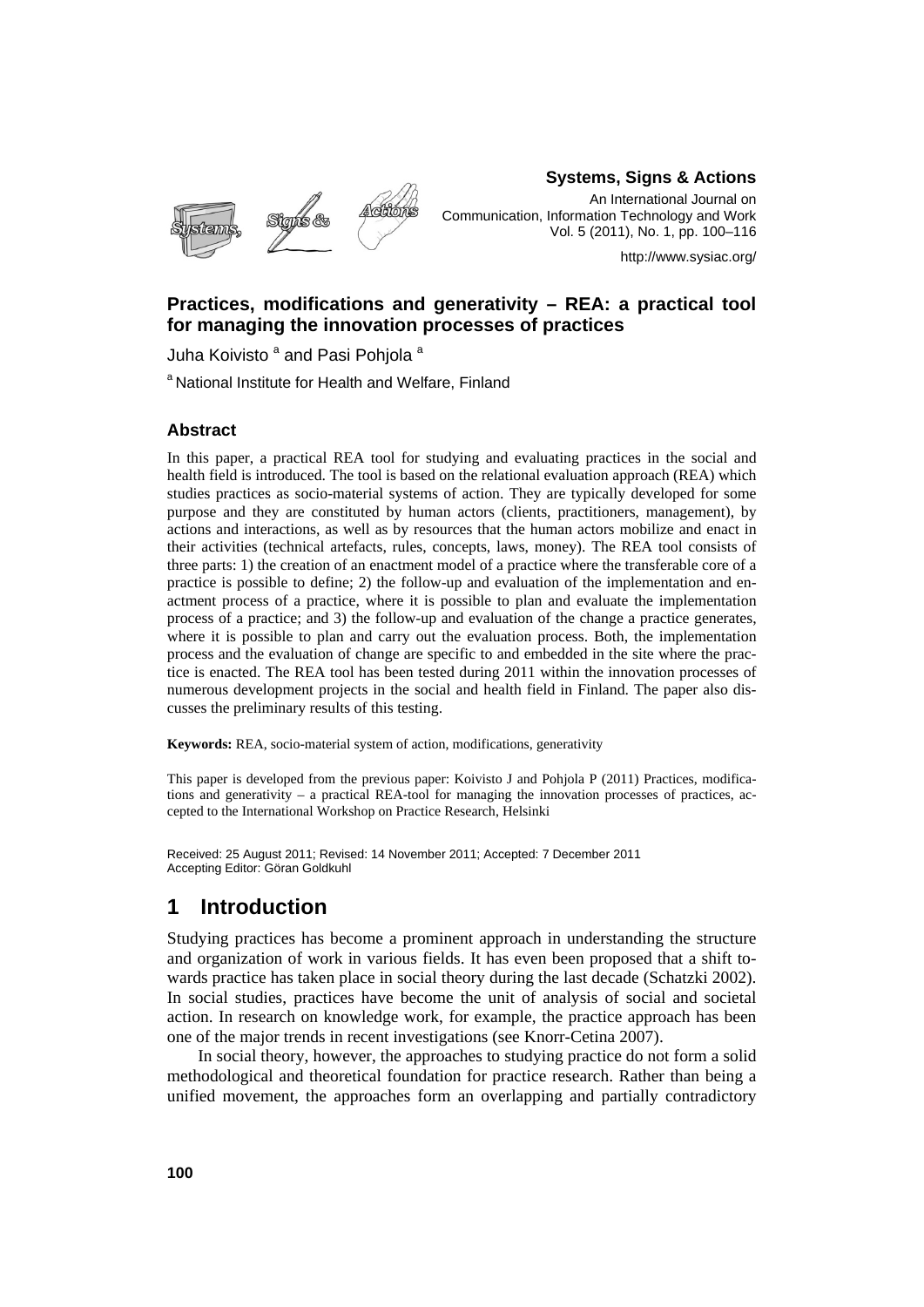

**Systems, Signs & Actions** 

An International Journal on Communication, Information Technology and Work Vol. 5 (2011), No. 1, pp. 100–116

http://www.sysiac.org/

### **Practices, modifications and generativity – REA: a practical tool for managing the innovation processes of practices**

Juha Koivisto <sup>a</sup> and Pasi Pohjola <sup>a</sup>

a National Institute for Health and Welfare, Finland

#### **Abstract**

In this paper, a practical REA tool for studying and evaluating practices in the social and health field is introduced. The tool is based on the relational evaluation approach (REA) which studies practices as socio-material systems of action. They are typically developed for some purpose and they are constituted by human actors (clients, practitioners, management), by actions and interactions, as well as by resources that the human actors mobilize and enact in their activities (technical artefacts, rules, concepts, laws, money). The REA tool consists of three parts: 1) the creation of an enactment model of a practice where the transferable core of a practice is possible to define; 2) the follow-up and evaluation of the implementation and enactment process of a practice, where it is possible to plan and evaluate the implementation process of a practice; and 3) the follow-up and evaluation of the change a practice generates, where it is possible to plan and carry out the evaluation process. Both, the implementation process and the evaluation of change are specific to and embedded in the site where the practice is enacted. The REA tool has been tested during 2011 within the innovation processes of numerous development projects in the social and health field in Finland. The paper also discusses the preliminary results of this testing.

**Keywords:** REA, socio-material system of action, modifications, generativity

This paper is developed from the previous paper: Koivisto J and Pohjola P (2011) Practices, modifications and generativity – a practical REA-tool for managing the innovation processes of practices, accepted to the International Workshop on Practice Research, Helsinki

Received: 25 August 2011; Revised: 14 November 2011; Accepted: 7 December 2011 Accepting Editor: Göran Goldkuhl

## **1 Introduction**

Studying practices has become a prominent approach in understanding the structure and organization of work in various fields. It has even been proposed that a shift towards practice has taken place in social theory during the last decade (Schatzki 2002). In social studies, practices have become the unit of analysis of social and societal action. In research on knowledge work, for example, the practice approach has been one of the major trends in recent investigations (see Knorr-Cetina 2007).

In social theory, however, the approaches to studying practice do not form a solid methodological and theoretical foundation for practice research. Rather than being a unified movement, the approaches form an overlapping and partially contradictory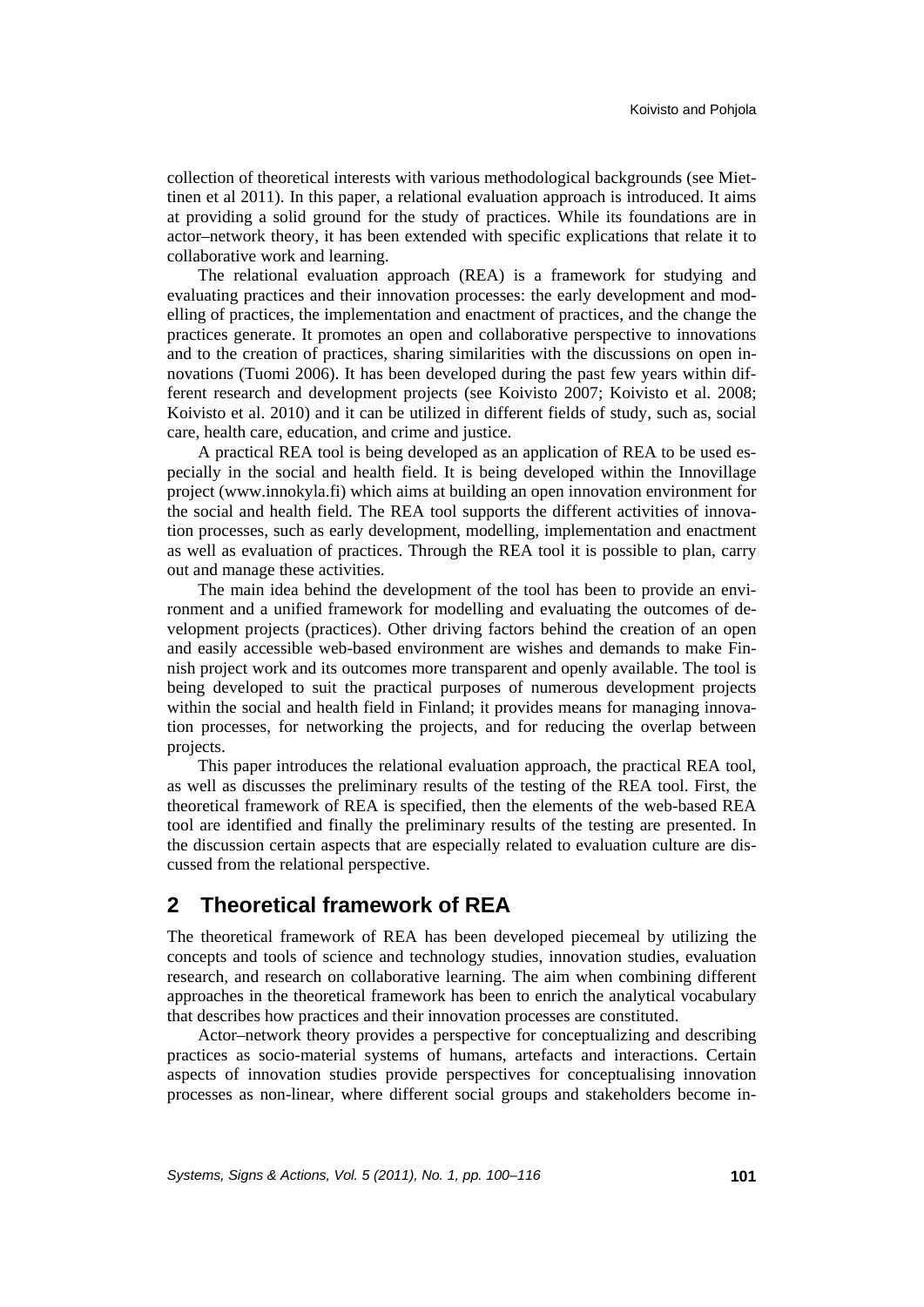collection of theoretical interests with various methodological backgrounds (see Miettinen et al 2011). In this paper, a relational evaluation approach is introduced. It aims at providing a solid ground for the study of practices. While its foundations are in actor–network theory, it has been extended with specific explications that relate it to collaborative work and learning.

The relational evaluation approach (REA) is a framework for studying and evaluating practices and their innovation processes: the early development and modelling of practices, the implementation and enactment of practices, and the change the practices generate. It promotes an open and collaborative perspective to innovations and to the creation of practices, sharing similarities with the discussions on open innovations (Tuomi 2006). It has been developed during the past few years within different research and development projects (see Koivisto 2007; Koivisto et al. 2008; Koivisto et al. 2010) and it can be utilized in different fields of study, such as, social care, health care, education, and crime and justice.

A practical REA tool is being developed as an application of REA to be used especially in the social and health field. It is being developed within the Innovillage project (www.innokyla.fi) which aims at building an open innovation environment for the social and health field. The REA tool supports the different activities of innovation processes, such as early development, modelling, implementation and enactment as well as evaluation of practices. Through the REA tool it is possible to plan, carry out and manage these activities.

The main idea behind the development of the tool has been to provide an environment and a unified framework for modelling and evaluating the outcomes of development projects (practices). Other driving factors behind the creation of an open and easily accessible web-based environment are wishes and demands to make Finnish project work and its outcomes more transparent and openly available. The tool is being developed to suit the practical purposes of numerous development projects within the social and health field in Finland; it provides means for managing innovation processes, for networking the projects, and for reducing the overlap between projects.

This paper introduces the relational evaluation approach, the practical REA tool, as well as discusses the preliminary results of the testing of the REA tool. First, the theoretical framework of REA is specified, then the elements of the web-based REA tool are identified and finally the preliminary results of the testing are presented. In the discussion certain aspects that are especially related to evaluation culture are discussed from the relational perspective.

## **2 Theoretical framework of REA**

The theoretical framework of REA has been developed piecemeal by utilizing the concepts and tools of science and technology studies, innovation studies, evaluation research, and research on collaborative learning. The aim when combining different approaches in the theoretical framework has been to enrich the analytical vocabulary that describes how practices and their innovation processes are constituted.

Actor–network theory provides a perspective for conceptualizing and describing practices as socio-material systems of humans, artefacts and interactions. Certain aspects of innovation studies provide perspectives for conceptualising innovation processes as non-linear, where different social groups and stakeholders become in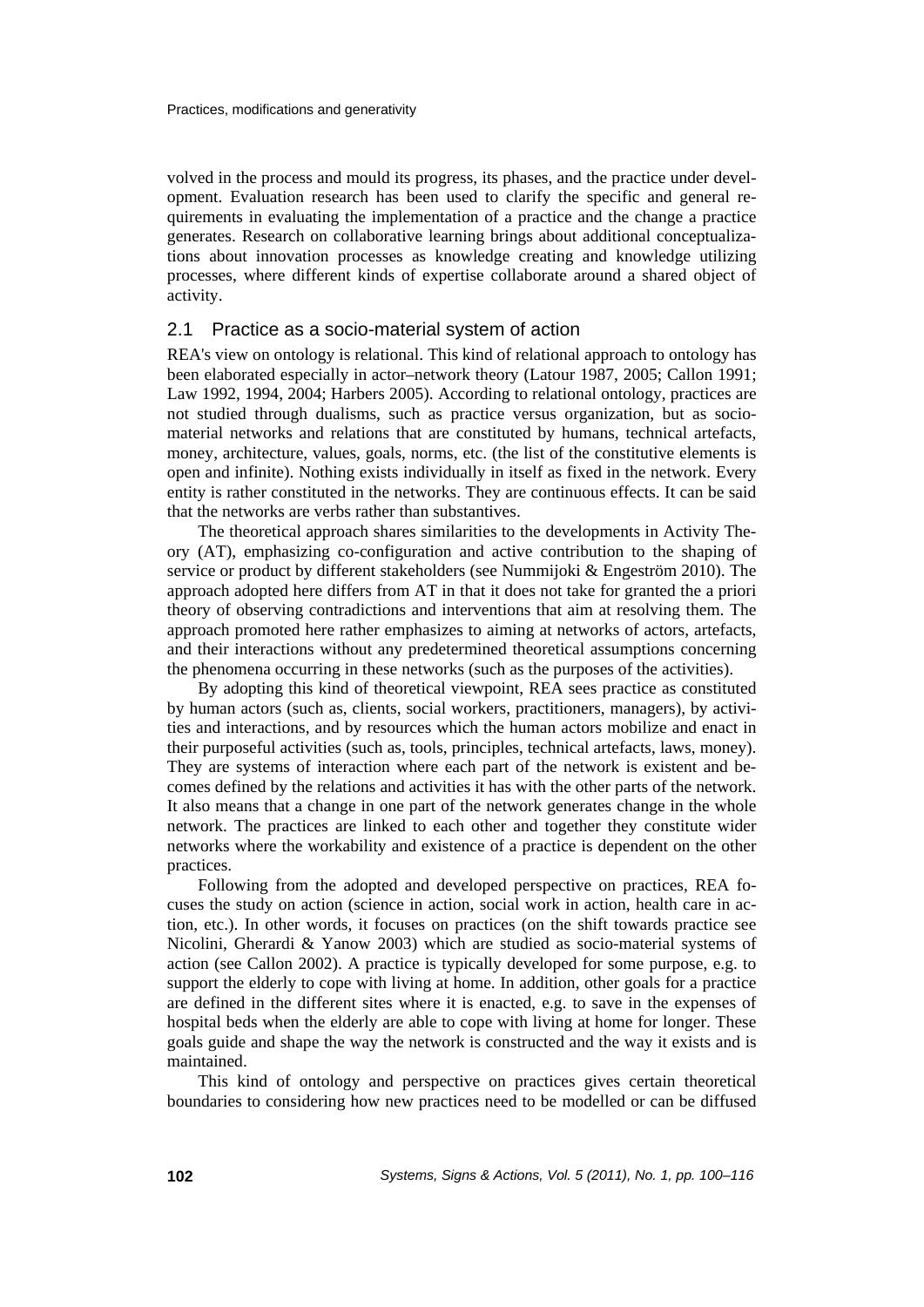volved in the process and mould its progress, its phases, and the practice under development. Evaluation research has been used to clarify the specific and general requirements in evaluating the implementation of a practice and the change a practice generates. Research on collaborative learning brings about additional conceptualizations about innovation processes as knowledge creating and knowledge utilizing processes, where different kinds of expertise collaborate around a shared object of activity.

### 2.1 Practice as a socio-material system of action

REA's view on ontology is relational. This kind of relational approach to ontology has been elaborated especially in actor–network theory (Latour 1987, 2005; Callon 1991; Law 1992, 1994, 2004; Harbers 2005). According to relational ontology, practices are not studied through dualisms, such as practice versus organization, but as sociomaterial networks and relations that are constituted by humans, technical artefacts, money, architecture, values, goals, norms, etc. (the list of the constitutive elements is open and infinite). Nothing exists individually in itself as fixed in the network. Every entity is rather constituted in the networks. They are continuous effects. It can be said that the networks are verbs rather than substantives.

The theoretical approach shares similarities to the developments in Activity Theory (AT), emphasizing co-configuration and active contribution to the shaping of service or product by different stakeholders (see Nummijoki & Engeström 2010). The approach adopted here differs from AT in that it does not take for granted the a priori theory of observing contradictions and interventions that aim at resolving them. The approach promoted here rather emphasizes to aiming at networks of actors, artefacts, and their interactions without any predetermined theoretical assumptions concerning the phenomena occurring in these networks (such as the purposes of the activities).

By adopting this kind of theoretical viewpoint, REA sees practice as constituted by human actors (such as, clients, social workers, practitioners, managers), by activities and interactions, and by resources which the human actors mobilize and enact in their purposeful activities (such as, tools, principles, technical artefacts, laws, money). They are systems of interaction where each part of the network is existent and becomes defined by the relations and activities it has with the other parts of the network. It also means that a change in one part of the network generates change in the whole network. The practices are linked to each other and together they constitute wider networks where the workability and existence of a practice is dependent on the other practices.

Following from the adopted and developed perspective on practices, REA focuses the study on action (science in action, social work in action, health care in action, etc.). In other words, it focuses on practices (on the shift towards practice see Nicolini, Gherardi & Yanow 2003) which are studied as socio-material systems of action (see Callon 2002). A practice is typically developed for some purpose, e.g. to support the elderly to cope with living at home. In addition, other goals for a practice are defined in the different sites where it is enacted, e.g. to save in the expenses of hospital beds when the elderly are able to cope with living at home for longer. These goals guide and shape the way the network is constructed and the way it exists and is maintained.

This kind of ontology and perspective on practices gives certain theoretical boundaries to considering how new practices need to be modelled or can be diffused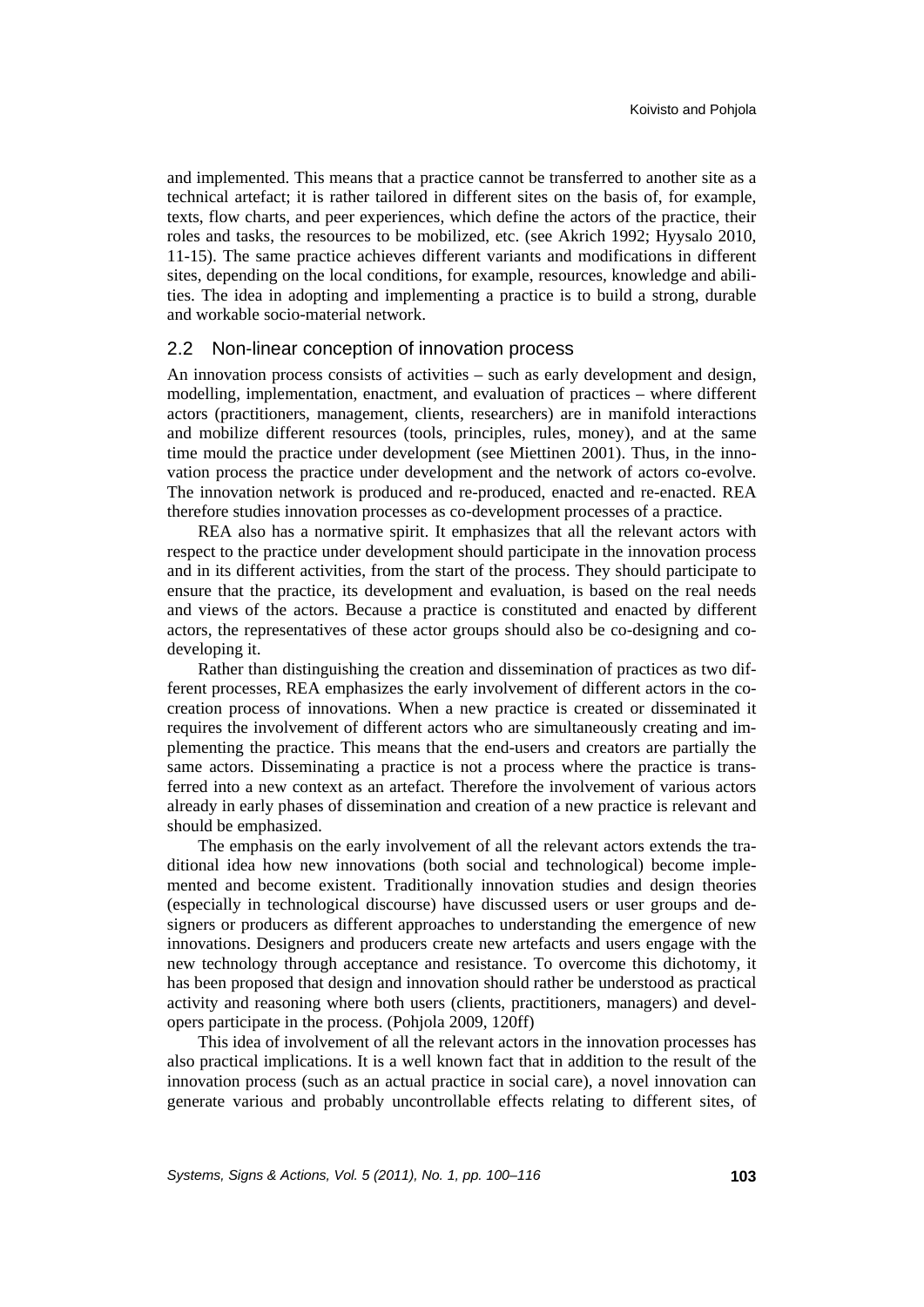and implemented. This means that a practice cannot be transferred to another site as a technical artefact; it is rather tailored in different sites on the basis of, for example, texts, flow charts, and peer experiences, which define the actors of the practice, their roles and tasks, the resources to be mobilized, etc. (see Akrich 1992; Hyysalo 2010, 11-15). The same practice achieves different variants and modifications in different sites, depending on the local conditions, for example, resources, knowledge and abilities. The idea in adopting and implementing a practice is to build a strong, durable and workable socio-material network.

### 2.2 Non-linear conception of innovation process

An innovation process consists of activities – such as early development and design, modelling, implementation, enactment, and evaluation of practices – where different actors (practitioners, management, clients, researchers) are in manifold interactions and mobilize different resources (tools, principles, rules, money), and at the same time mould the practice under development (see Miettinen 2001). Thus, in the innovation process the practice under development and the network of actors co-evolve. The innovation network is produced and re-produced, enacted and re-enacted. REA therefore studies innovation processes as co-development processes of a practice.

REA also has a normative spirit. It emphasizes that all the relevant actors with respect to the practice under development should participate in the innovation process and in its different activities, from the start of the process. They should participate to ensure that the practice, its development and evaluation, is based on the real needs and views of the actors. Because a practice is constituted and enacted by different actors, the representatives of these actor groups should also be co-designing and codeveloping it.

Rather than distinguishing the creation and dissemination of practices as two different processes, REA emphasizes the early involvement of different actors in the cocreation process of innovations. When a new practice is created or disseminated it requires the involvement of different actors who are simultaneously creating and implementing the practice. This means that the end-users and creators are partially the same actors. Disseminating a practice is not a process where the practice is transferred into a new context as an artefact. Therefore the involvement of various actors already in early phases of dissemination and creation of a new practice is relevant and should be emphasized.

The emphasis on the early involvement of all the relevant actors extends the traditional idea how new innovations (both social and technological) become implemented and become existent. Traditionally innovation studies and design theories (especially in technological discourse) have discussed users or user groups and designers or producers as different approaches to understanding the emergence of new innovations. Designers and producers create new artefacts and users engage with the new technology through acceptance and resistance. To overcome this dichotomy, it has been proposed that design and innovation should rather be understood as practical activity and reasoning where both users (clients, practitioners, managers) and developers participate in the process. (Pohjola 2009, 120ff)

This idea of involvement of all the relevant actors in the innovation processes has also practical implications. It is a well known fact that in addition to the result of the innovation process (such as an actual practice in social care), a novel innovation can generate various and probably uncontrollable effects relating to different sites, of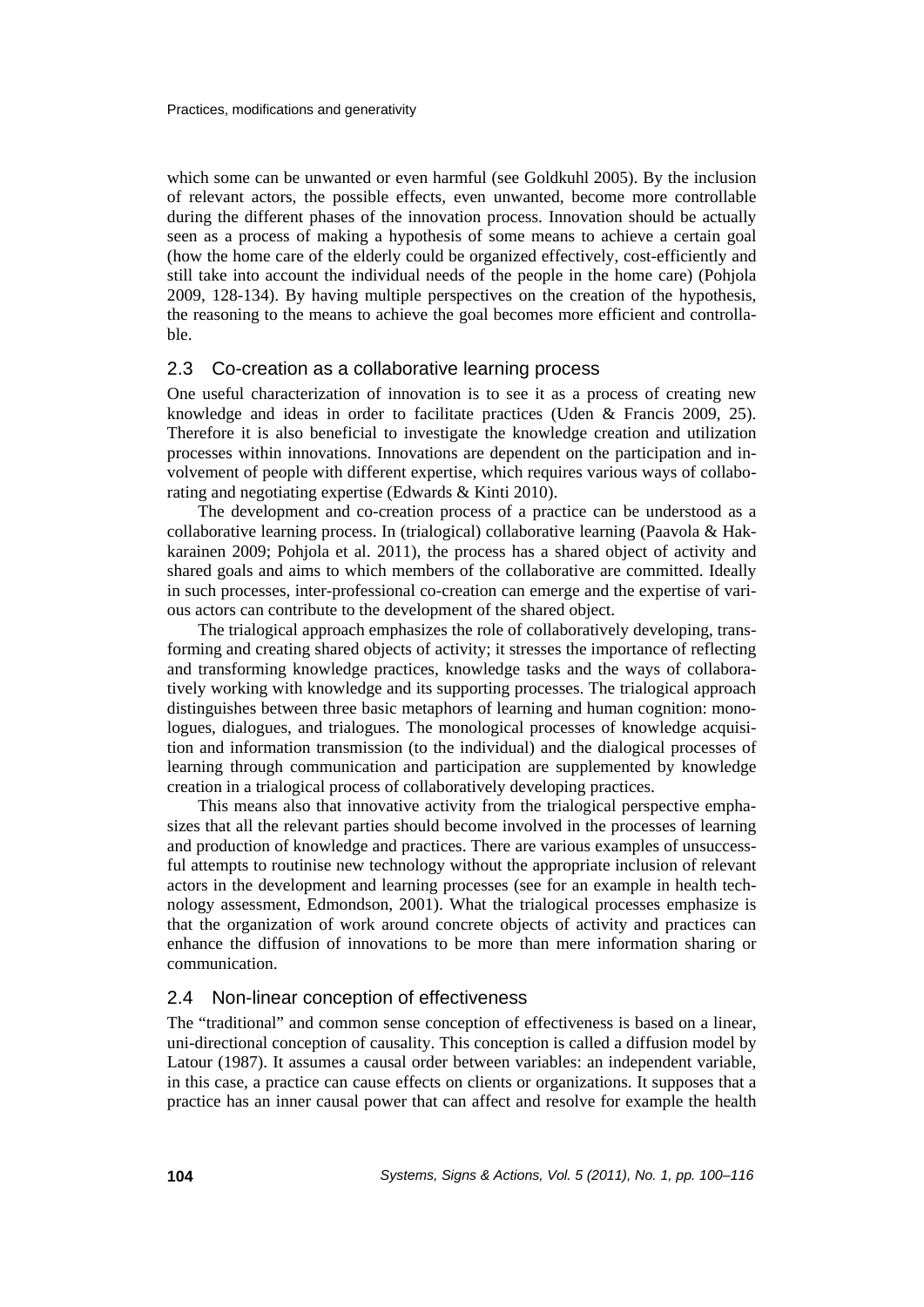which some can be unwanted or even harmful (see Goldkuhl 2005). By the inclusion of relevant actors, the possible effects, even unwanted, become more controllable during the different phases of the innovation process. Innovation should be actually seen as a process of making a hypothesis of some means to achieve a certain goal (how the home care of the elderly could be organized effectively, cost-efficiently and still take into account the individual needs of the people in the home care) (Pohjola 2009, 128-134). By having multiple perspectives on the creation of the hypothesis, the reasoning to the means to achieve the goal becomes more efficient and controllable.

#### 2.3 Co-creation as a collaborative learning process

One useful characterization of innovation is to see it as a process of creating new knowledge and ideas in order to facilitate practices (Uden & Francis 2009, 25). Therefore it is also beneficial to investigate the knowledge creation and utilization processes within innovations. Innovations are dependent on the participation and involvement of people with different expertise, which requires various ways of collaborating and negotiating expertise (Edwards & Kinti 2010).

The development and co-creation process of a practice can be understood as a collaborative learning process. In (trialogical) collaborative learning (Paavola & Hakkarainen 2009; Pohjola et al. 2011), the process has a shared object of activity and shared goals and aims to which members of the collaborative are committed. Ideally in such processes, inter-professional co-creation can emerge and the expertise of various actors can contribute to the development of the shared object.

The trialogical approach emphasizes the role of collaboratively developing, transforming and creating shared objects of activity; it stresses the importance of reflecting and transforming knowledge practices, knowledge tasks and the ways of collaboratively working with knowledge and its supporting processes. The trialogical approach distinguishes between three basic metaphors of learning and human cognition: monologues, dialogues, and trialogues. The monological processes of knowledge acquisition and information transmission (to the individual) and the dialogical processes of learning through communication and participation are supplemented by knowledge creation in a trialogical process of collaboratively developing practices.

This means also that innovative activity from the trialogical perspective emphasizes that all the relevant parties should become involved in the processes of learning and production of knowledge and practices. There are various examples of unsuccessful attempts to routinise new technology without the appropriate inclusion of relevant actors in the development and learning processes (see for an example in health technology assessment, Edmondson, 2001). What the trialogical processes emphasize is that the organization of work around concrete objects of activity and practices can enhance the diffusion of innovations to be more than mere information sharing or communication.

#### 2.4 Non-linear conception of effectiveness

The "traditional" and common sense conception of effectiveness is based on a linear, uni-directional conception of causality. This conception is called a diffusion model by Latour (1987). It assumes a causal order between variables: an independent variable, in this case, a practice can cause effects on clients or organizations. It supposes that a practice has an inner causal power that can affect and resolve for example the health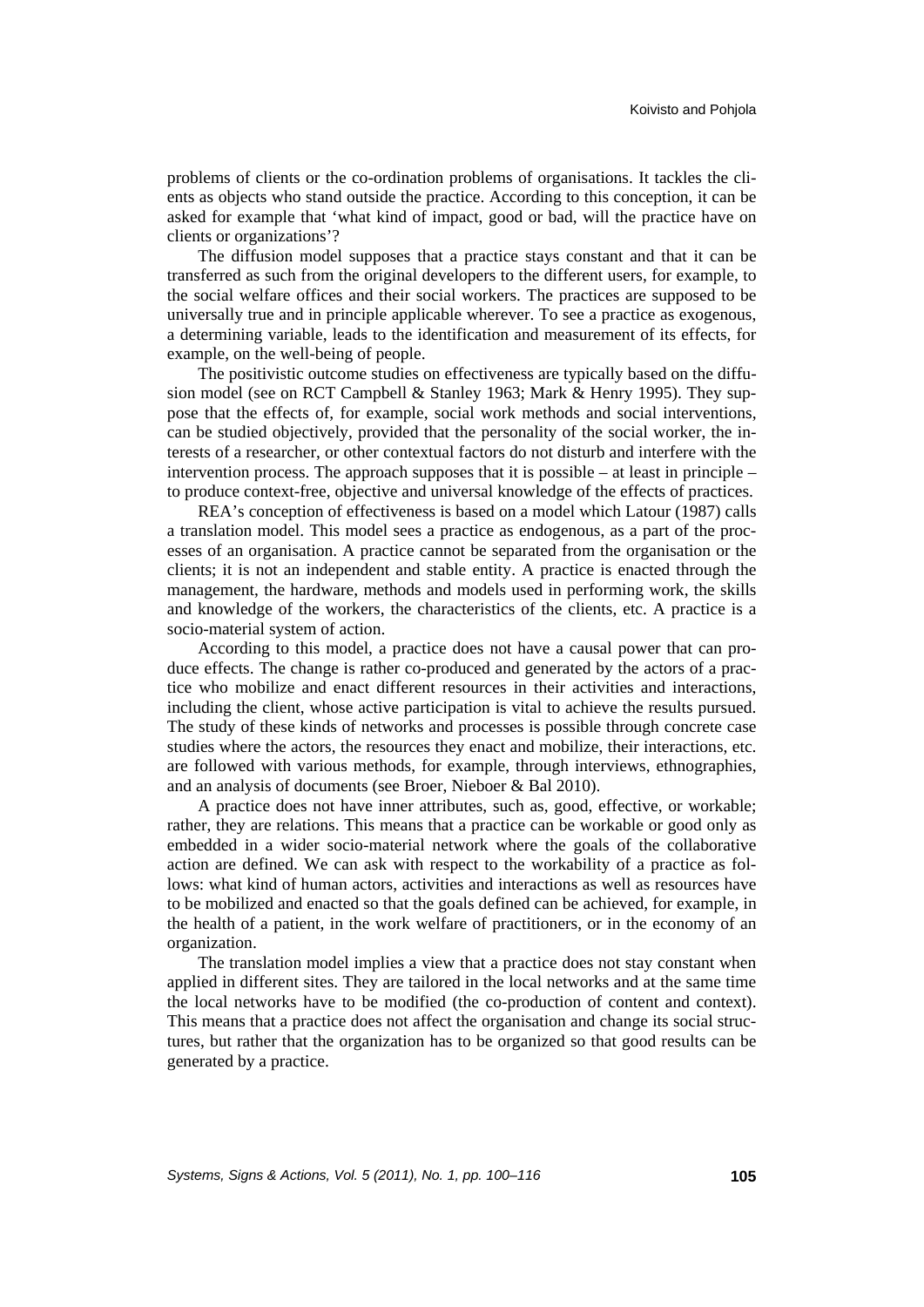problems of clients or the co-ordination problems of organisations. It tackles the clients as objects who stand outside the practice. According to this conception, it can be asked for example that 'what kind of impact, good or bad, will the practice have on clients or organizations'?

The diffusion model supposes that a practice stays constant and that it can be transferred as such from the original developers to the different users, for example, to the social welfare offices and their social workers. The practices are supposed to be universally true and in principle applicable wherever. To see a practice as exogenous, a determining variable, leads to the identification and measurement of its effects, for example, on the well-being of people.

The positivistic outcome studies on effectiveness are typically based on the diffusion model (see on RCT Campbell & Stanley 1963; Mark & Henry 1995). They suppose that the effects of, for example, social work methods and social interventions, can be studied objectively, provided that the personality of the social worker, the interests of a researcher, or other contextual factors do not disturb and interfere with the intervention process. The approach supposes that it is possible – at least in principle – to produce context-free, objective and universal knowledge of the effects of practices.

REA's conception of effectiveness is based on a model which Latour (1987) calls a translation model. This model sees a practice as endogenous, as a part of the processes of an organisation. A practice cannot be separated from the organisation or the clients; it is not an independent and stable entity. A practice is enacted through the management, the hardware, methods and models used in performing work, the skills and knowledge of the workers, the characteristics of the clients, etc. A practice is a socio-material system of action.

According to this model, a practice does not have a causal power that can produce effects. The change is rather co-produced and generated by the actors of a practice who mobilize and enact different resources in their activities and interactions, including the client, whose active participation is vital to achieve the results pursued. The study of these kinds of networks and processes is possible through concrete case studies where the actors, the resources they enact and mobilize, their interactions, etc. are followed with various methods, for example, through interviews, ethnographies, and an analysis of documents (see Broer, Nieboer & Bal 2010).

A practice does not have inner attributes, such as, good, effective, or workable; rather, they are relations. This means that a practice can be workable or good only as embedded in a wider socio-material network where the goals of the collaborative action are defined. We can ask with respect to the workability of a practice as follows: what kind of human actors, activities and interactions as well as resources have to be mobilized and enacted so that the goals defined can be achieved, for example, in the health of a patient, in the work welfare of practitioners, or in the economy of an organization.

The translation model implies a view that a practice does not stay constant when applied in different sites. They are tailored in the local networks and at the same time the local networks have to be modified (the co-production of content and context). This means that a practice does not affect the organisation and change its social structures, but rather that the organization has to be organized so that good results can be generated by a practice.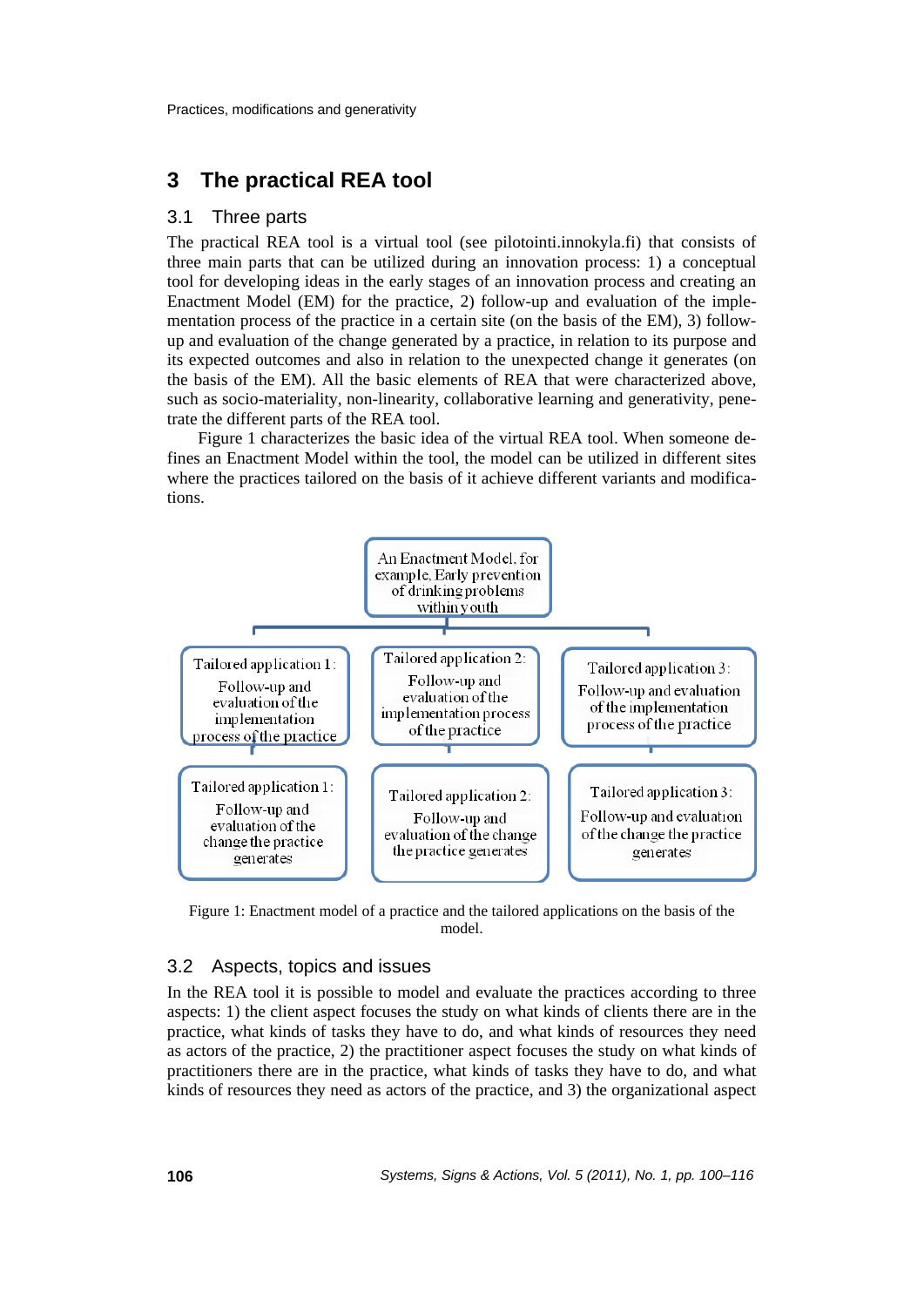## **3 The practical REA tool**

#### 3.1 Three parts

The practical REA tool is a virtual tool (see pilotointi.innokyla.fi) that consists of three main parts that can be utilized during an innovation process: 1) a conceptual tool for developing ideas in the early stages of an innovation process and creating an Enactment Model (EM) for the practice, 2) follow-up and evaluation of the implementation process of the practice in a certain site (on the basis of the EM), 3) followup and evaluation of the change generated by a practice, in relation to its purpose and its expected outcomes and also in relation to the unexpected change it generates (on the basis of the EM). All the basic elements of REA that were characterized above, such as socio-materiality, non-linearity, collaborative learning and generativity, penetrate the different parts of the REA tool.

Figure 1 characterizes the basic idea of the virtual REA tool. When someone defines an Enactment Model within the tool, the model can be utilized in different sites where the practices tailored on the basis of it achieve different variants and modifications.



Figure 1: Enactment model of a practice and the tailored applications on the basis of the model.

#### 3.2 Aspects, topics and issues

In the REA tool it is possible to model and evaluate the practices according to three aspects: 1) the client aspect focuses the study on what kinds of clients there are in the practice, what kinds of tasks they have to do, and what kinds of resources they need as actors of the practice, 2) the practitioner aspect focuses the study on what kinds of practitioners there are in the practice, what kinds of tasks they have to do, and what kinds of resources they need as actors of the practice, and 3) the organizational aspect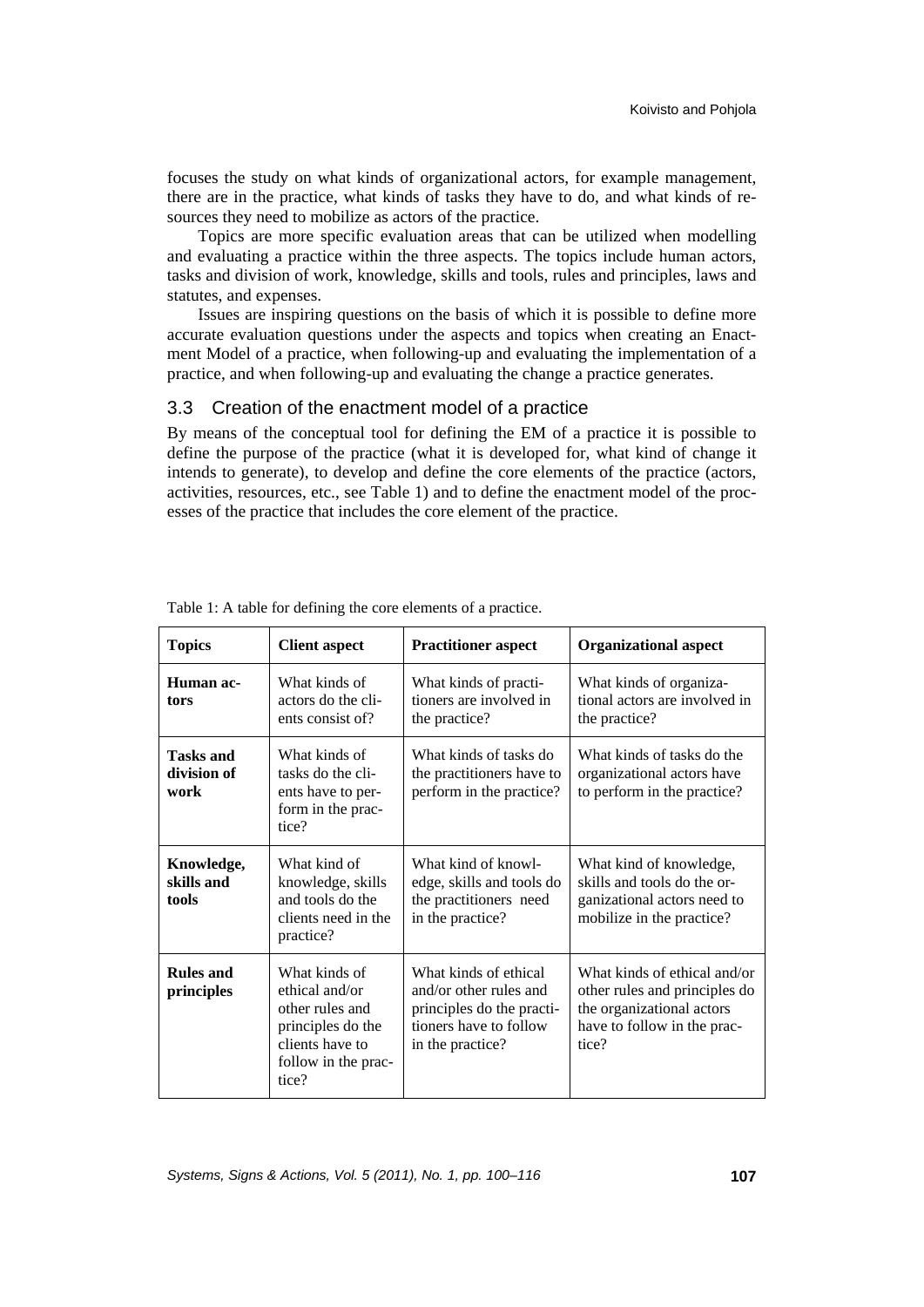focuses the study on what kinds of organizational actors, for example management, there are in the practice, what kinds of tasks they have to do, and what kinds of resources they need to mobilize as actors of the practice.

Topics are more specific evaluation areas that can be utilized when modelling and evaluating a practice within the three aspects. The topics include human actors, tasks and division of work, knowledge, skills and tools, rules and principles, laws and statutes, and expenses.

Issues are inspiring questions on the basis of which it is possible to define more accurate evaluation questions under the aspects and topics when creating an Enactment Model of a practice, when following-up and evaluating the implementation of a practice, and when following-up and evaluating the change a practice generates.

#### 3.3 Creation of the enactment model of a practice

By means of the conceptual tool for defining the EM of a practice it is possible to define the purpose of the practice (what it is developed for, what kind of change it intends to generate), to develop and define the core elements of the practice (actors, activities, resources, etc., see Table 1) and to define the enactment model of the processes of the practice that includes the core element of the practice.

| <b>Topics</b>                           | <b>Client aspect</b>                                                                                                       | <b>Practitioner aspect</b>                                                                                                 | <b>Organizational aspect</b>                                                                                                       |
|-----------------------------------------|----------------------------------------------------------------------------------------------------------------------------|----------------------------------------------------------------------------------------------------------------------------|------------------------------------------------------------------------------------------------------------------------------------|
| Human ac-<br>tors                       | What kinds of<br>actors do the cli-<br>ents consist of?                                                                    | What kinds of practi-<br>tioners are involved in<br>the practice?                                                          | What kinds of organiza-<br>tional actors are involved in<br>the practice?                                                          |
| <b>Tasks and</b><br>division of<br>work | What kinds of<br>tasks do the cli-<br>ents have to per-<br>form in the prac-<br>tice?                                      | What kinds of tasks do<br>the practitioners have to<br>perform in the practice?                                            | What kinds of tasks do the<br>organizational actors have<br>to perform in the practice?                                            |
| Knowledge,<br>skills and<br>tools       | What kind of<br>knowledge, skills<br>and tools do the<br>clients need in the<br>practice?                                  | What kind of knowl-<br>edge, skills and tools do<br>the practitioners need<br>in the practice?                             | What kind of knowledge,<br>skills and tools do the or-<br>ganizational actors need to<br>mobilize in the practice?                 |
| <b>Rules and</b><br>principles          | What kinds of<br>ethical and/or<br>other rules and<br>principles do the<br>clients have to<br>follow in the prac-<br>tice? | What kinds of ethical<br>and/or other rules and<br>principles do the practi-<br>tioners have to follow<br>in the practice? | What kinds of ethical and/or<br>other rules and principles do<br>the organizational actors<br>have to follow in the prac-<br>tice? |

Table 1: A table for defining the core elements of a practice.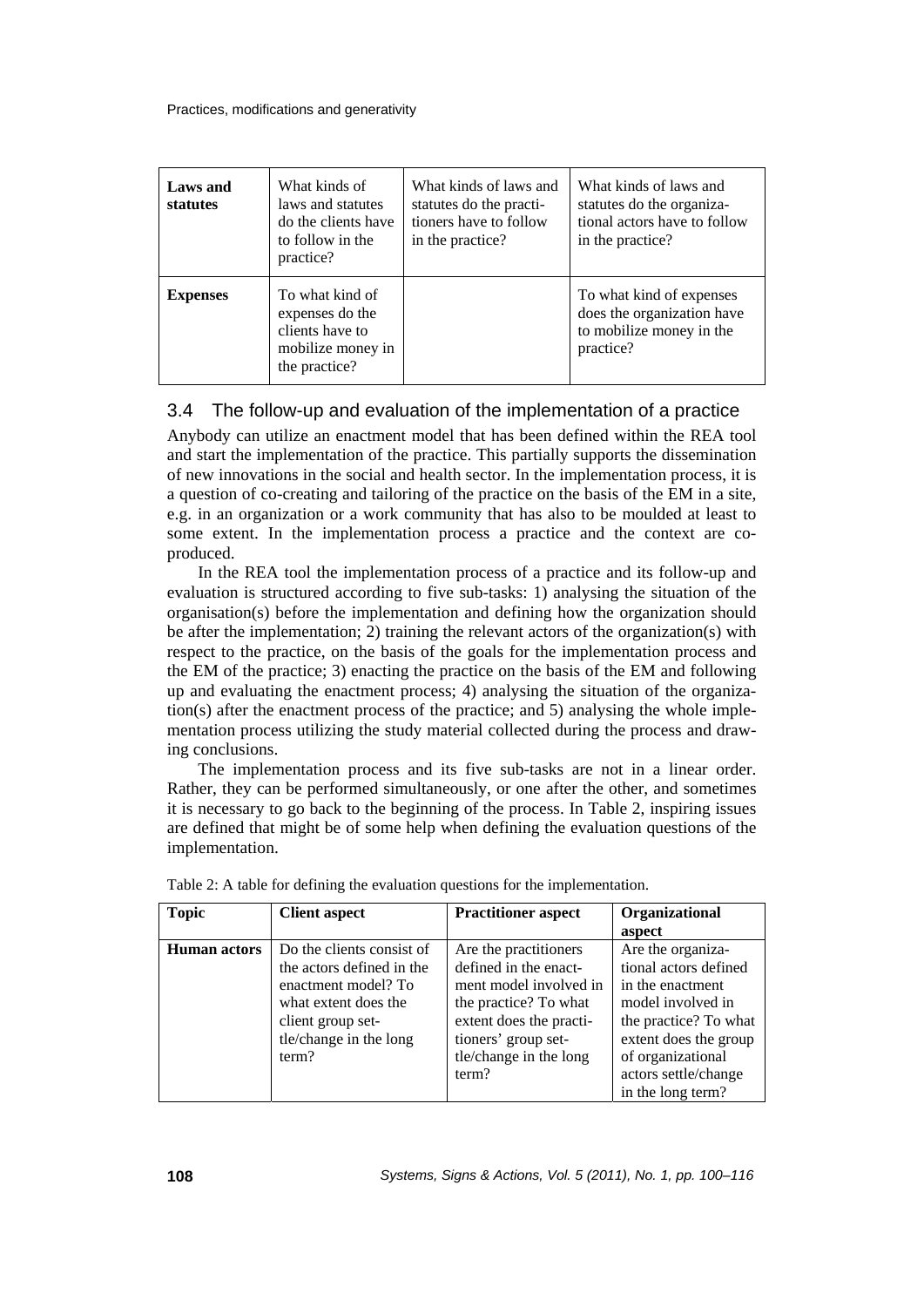| Laws and<br>statutes | What kinds of<br>laws and statutes<br>do the clients have<br>to follow in the<br>practice?  | What kinds of laws and<br>statutes do the practi-<br>tioners have to follow<br>in the practice? | What kinds of laws and<br>statutes do the organiza-<br>tional actors have to follow<br>in the practice? |
|----------------------|---------------------------------------------------------------------------------------------|-------------------------------------------------------------------------------------------------|---------------------------------------------------------------------------------------------------------|
| <b>Expenses</b>      | To what kind of<br>expenses do the<br>clients have to<br>mobilize money in<br>the practice? |                                                                                                 | To what kind of expenses<br>does the organization have<br>to mobilize money in the<br>practice?         |

### 3.4 The follow-up and evaluation of the implementation of a practice

Anybody can utilize an enactment model that has been defined within the REA tool and start the implementation of the practice. This partially supports the dissemination of new innovations in the social and health sector. In the implementation process, it is a question of co-creating and tailoring of the practice on the basis of the EM in a site, e.g. in an organization or a work community that has also to be moulded at least to some extent. In the implementation process a practice and the context are coproduced.

In the REA tool the implementation process of a practice and its follow-up and evaluation is structured according to five sub-tasks: 1) analysing the situation of the organisation(s) before the implementation and defining how the organization should be after the implementation; 2) training the relevant actors of the organization(s) with respect to the practice, on the basis of the goals for the implementation process and the EM of the practice; 3) enacting the practice on the basis of the EM and following up and evaluating the enactment process; 4) analysing the situation of the organization(s) after the enactment process of the practice; and 5) analysing the whole implementation process utilizing the study material collected during the process and drawing conclusions.

The implementation process and its five sub-tasks are not in a linear order. Rather, they can be performed simultaneously, or one after the other, and sometimes it is necessary to go back to the beginning of the process. In Table 2, inspiring issues are defined that might be of some help when defining the evaluation questions of the implementation.

| <b>Topic</b>        | <b>Client aspect</b>      | <b>Practitioner aspect</b> | Organizational        |
|---------------------|---------------------------|----------------------------|-----------------------|
|                     |                           |                            | aspect                |
| <b>Human actors</b> | Do the clients consist of | Are the practitioners      | Are the organiza-     |
|                     | the actors defined in the | defined in the enact-      | tional actors defined |
|                     | enactment model? To       | ment model involved in     | in the enactment      |
|                     | what extent does the      | the practice? To what      | model involved in     |
|                     | client group set-         | extent does the practi-    | the practice? To what |
|                     | tle/change in the long    | tioners' group set-        | extent does the group |
|                     | term?                     | tle/change in the long     | of organizational     |
|                     |                           | term?                      | actors settle/change  |
|                     |                           |                            | in the long term?     |

Table 2: A table for defining the evaluation questions for the implementation.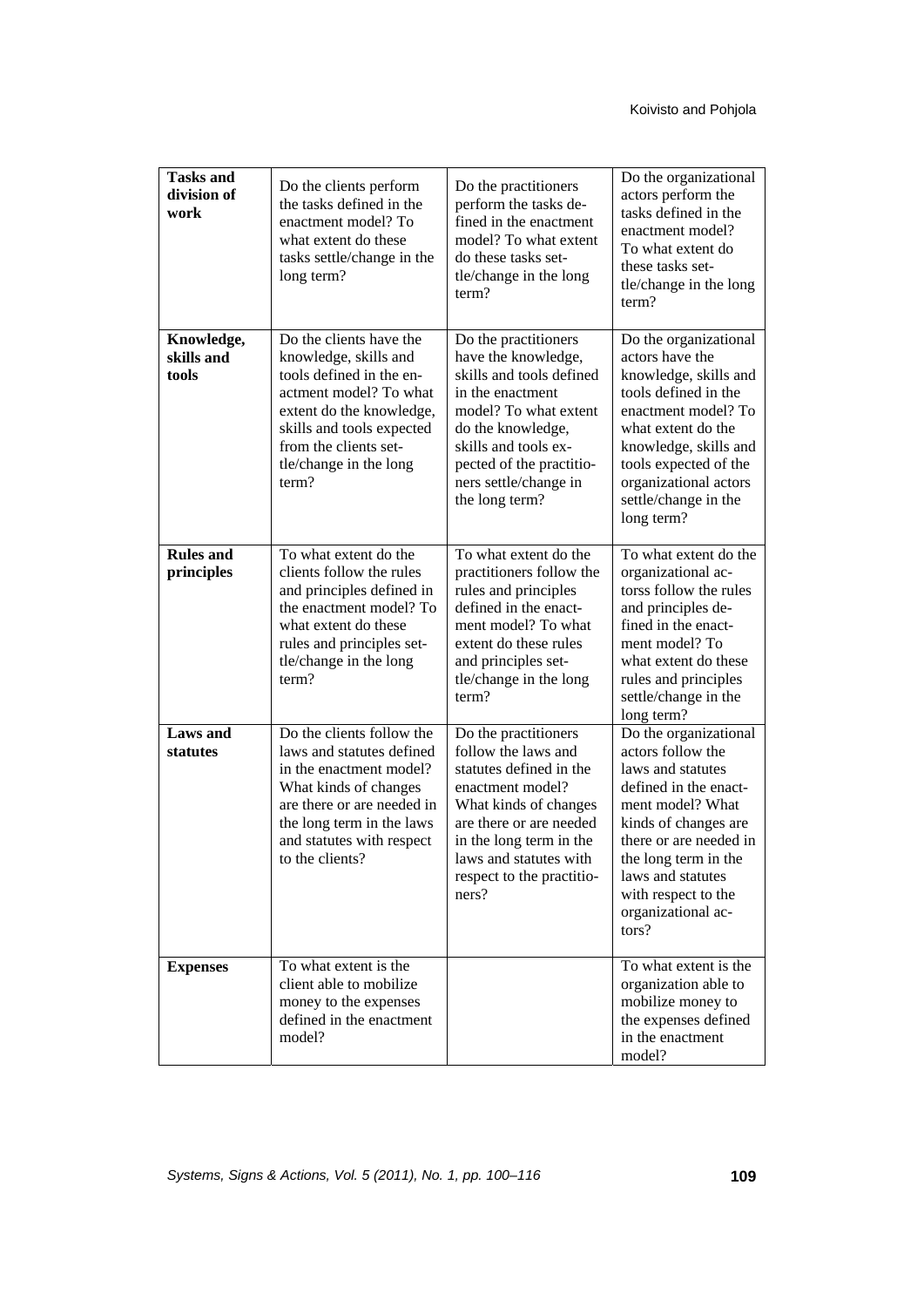| <b>Tasks and</b><br>division of<br>work | Do the clients perform<br>the tasks defined in the<br>enactment model? To<br>what extent do these<br>tasks settle/change in the<br>long term?                                                                               | Do the practitioners<br>perform the tasks de-<br>fined in the enactment<br>model? To what extent<br>do these tasks set-<br>tle/change in the long<br>term?                                                                                | Do the organizational<br>actors perform the<br>tasks defined in the<br>enactment model?<br>To what extent do<br>these tasks set-<br>tle/change in the long<br>term?                                                                                               |
|-----------------------------------------|-----------------------------------------------------------------------------------------------------------------------------------------------------------------------------------------------------------------------------|-------------------------------------------------------------------------------------------------------------------------------------------------------------------------------------------------------------------------------------------|-------------------------------------------------------------------------------------------------------------------------------------------------------------------------------------------------------------------------------------------------------------------|
| Knowledge,<br>skills and<br>tools       | Do the clients have the<br>knowledge, skills and<br>tools defined in the en-<br>actment model? To what<br>extent do the knowledge,<br>skills and tools expected<br>from the clients set-<br>tle/change in the long<br>term? | Do the practitioners<br>have the knowledge,<br>skills and tools defined<br>in the enactment<br>model? To what extent<br>do the knowledge,<br>skills and tools ex-<br>pected of the practitio-<br>ners settle/change in<br>the long term?  | Do the organizational<br>actors have the<br>knowledge, skills and<br>tools defined in the<br>enactment model? To<br>what extent do the<br>knowledge, skills and<br>tools expected of the<br>organizational actors<br>settle/change in the<br>long term?           |
| <b>Rules and</b><br>principles          | To what extent do the<br>clients follow the rules<br>and principles defined in<br>the enactment model? To<br>what extent do these<br>rules and principles set-<br>tle/change in the long<br>term?                           | To what extent do the<br>practitioners follow the<br>rules and principles<br>defined in the enact-<br>ment model? To what<br>extent do these rules<br>and principles set-<br>tle/change in the long<br>term?                              | To what extent do the<br>organizational ac-<br>torss follow the rules<br>and principles de-<br>fined in the enact-<br>ment model? To<br>what extent do these<br>rules and principles<br>settle/change in the<br>long term?                                        |
| <b>Laws</b> and<br>statutes             | Do the clients follow the<br>laws and statutes defined<br>in the enactment model?<br>What kinds of changes<br>are there or are needed in<br>the long term in the laws<br>and statutes with respect<br>to the clients?       | Do the practitioners<br>follow the laws and<br>statutes defined in the<br>enactment model?<br>What kinds of changes<br>are there or are needed<br>in the long term in the<br>laws and statutes with<br>respect to the practitio-<br>ners? | Do the organizational<br>actors follow the<br>laws and statutes<br>defined in the enact-<br>ment model? What<br>kinds of changes are<br>there or are needed in<br>the long term in the<br>laws and statutes<br>with respect to the<br>organizational ac-<br>tors? |
| <b>Expenses</b>                         | To what extent is the<br>client able to mobilize<br>money to the expenses<br>defined in the enactment<br>model?                                                                                                             |                                                                                                                                                                                                                                           | To what extent is the<br>organization able to<br>mobilize money to<br>the expenses defined<br>in the enactment<br>model?                                                                                                                                          |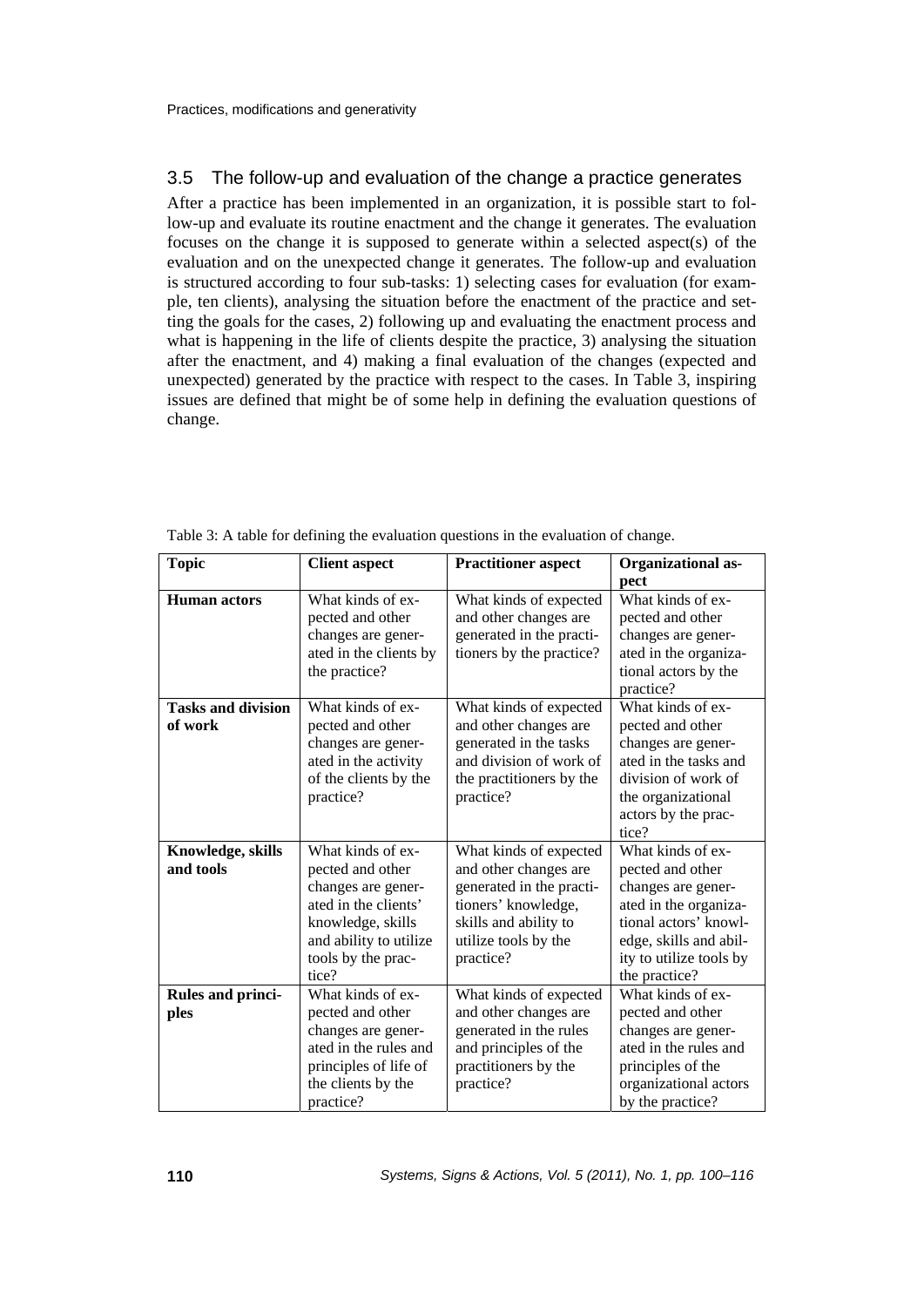## 3.5 The follow-up and evaluation of the change a practice generates

After a practice has been implemented in an organization, it is possible start to follow-up and evaluate its routine enactment and the change it generates. The evaluation focuses on the change it is supposed to generate within a selected aspect(s) of the evaluation and on the unexpected change it generates. The follow-up and evaluation is structured according to four sub-tasks: 1) selecting cases for evaluation (for example, ten clients), analysing the situation before the enactment of the practice and setting the goals for the cases, 2) following up and evaluating the enactment process and what is happening in the life of clients despite the practice, 3) analysing the situation after the enactment, and 4) making a final evaluation of the changes (expected and unexpected) generated by the practice with respect to the cases. In Table 3, inspiring issues are defined that might be of some help in defining the evaluation questions of change.

| <b>Topic</b>                         | <b>Client aspect</b>                                                                                                                                              | <b>Practitioner aspect</b>                                                                                                                                       | <b>Organizational as-</b><br>pect                                                                                                                                                   |
|--------------------------------------|-------------------------------------------------------------------------------------------------------------------------------------------------------------------|------------------------------------------------------------------------------------------------------------------------------------------------------------------|-------------------------------------------------------------------------------------------------------------------------------------------------------------------------------------|
| <b>Human</b> actors                  | What kinds of ex-<br>pected and other<br>changes are gener-<br>ated in the clients by<br>the practice?                                                            | What kinds of expected<br>and other changes are<br>generated in the practi-<br>tioners by the practice?                                                          | What kinds of ex-<br>pected and other<br>changes are gener-<br>ated in the organiza-<br>tional actors by the<br>practice?                                                           |
| <b>Tasks and division</b><br>of work | What kinds of ex-<br>pected and other<br>changes are gener-<br>ated in the activity<br>of the clients by the<br>practice?                                         | What kinds of expected<br>and other changes are<br>generated in the tasks<br>and division of work of<br>the practitioners by the<br>practice?                    | What kinds of ex-<br>pected and other<br>changes are gener-<br>ated in the tasks and<br>division of work of<br>the organizational<br>actors by the prac-<br>tice?                   |
| Knowledge, skills<br>and tools       | What kinds of ex-<br>pected and other<br>changes are gener-<br>ated in the clients'<br>knowledge, skills<br>and ability to utilize<br>tools by the prac-<br>tice? | What kinds of expected<br>and other changes are<br>generated in the practi-<br>tioners' knowledge,<br>skills and ability to<br>utilize tools by the<br>practice? | What kinds of ex-<br>pected and other<br>changes are gener-<br>ated in the organiza-<br>tional actors' knowl-<br>edge, skills and abil-<br>ity to utilize tools by<br>the practice? |
| <b>Rules and princi-</b><br>ples     | What kinds of ex-<br>pected and other<br>changes are gener-<br>ated in the rules and<br>principles of life of<br>the clients by the<br>practice?                  | What kinds of expected<br>and other changes are<br>generated in the rules<br>and principles of the<br>practitioners by the<br>practice?                          | What kinds of ex-<br>pected and other<br>changes are gener-<br>ated in the rules and<br>principles of the<br>organizational actors<br>by the practice?                              |

Table 3: A table for defining the evaluation questions in the evaluation of change.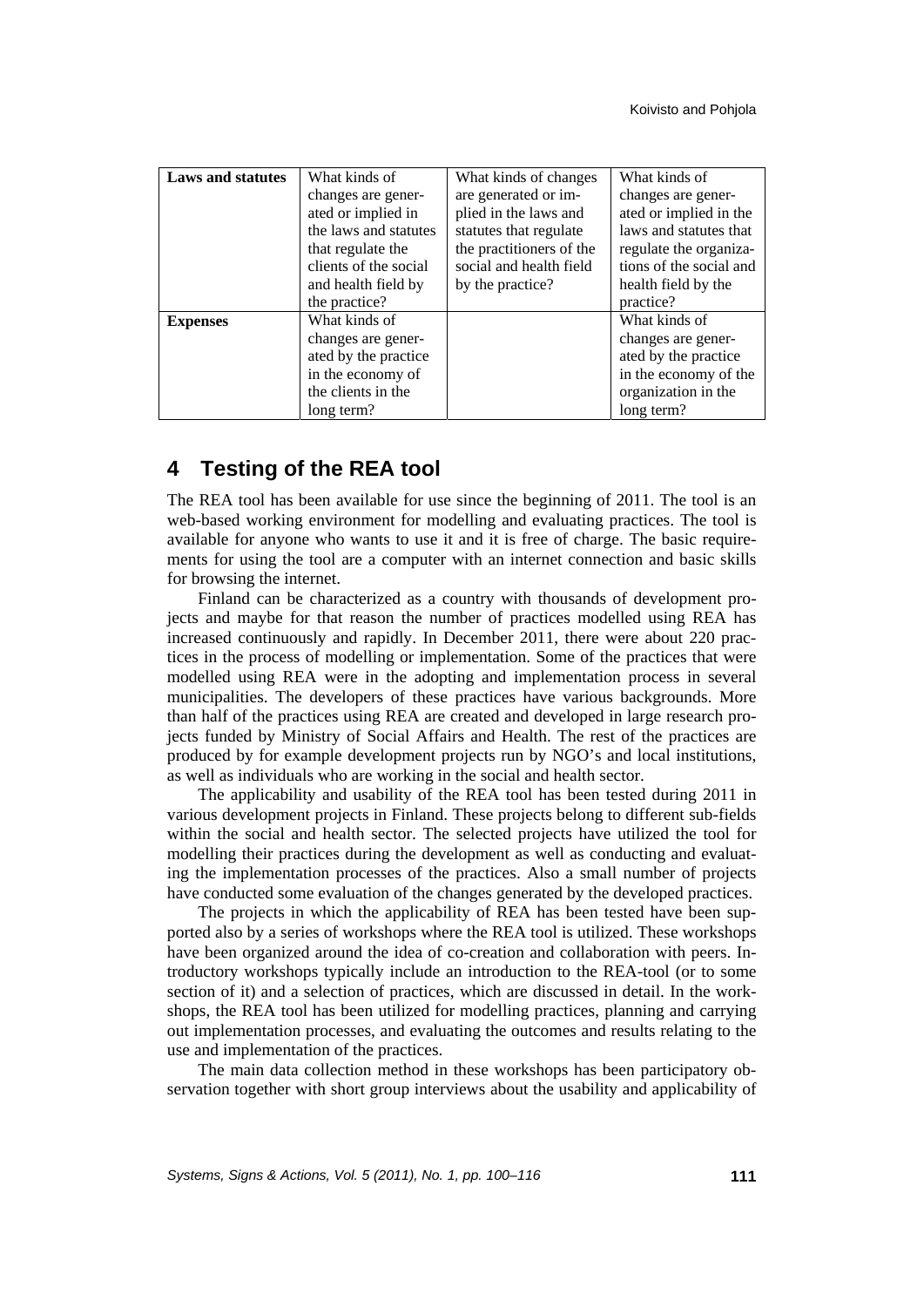| <b>Laws and statutes</b> | What kinds of         | What kinds of changes    | What kinds of           |
|--------------------------|-----------------------|--------------------------|-------------------------|
|                          | changes are gener-    | are generated or im-     | changes are gener-      |
|                          | ated or implied in    | plied in the laws and    | ated or implied in the  |
|                          | the laws and statutes | statutes that regulate   | laws and statutes that  |
|                          | that regulate the     | the practitioners of the | regulate the organiza-  |
|                          | clients of the social | social and health field  | tions of the social and |
|                          | and health field by   | by the practice?         | health field by the     |
|                          | the practice?         |                          | practice?               |
| <b>Expenses</b>          | What kinds of         |                          | What kinds of           |
|                          | changes are gener-    |                          | changes are gener-      |
|                          | ated by the practice  |                          | ated by the practice    |
|                          | in the economy of     |                          | in the economy of the   |
|                          | the clients in the    |                          | organization in the     |
|                          | long term?            |                          | long term?              |

## **4 Testing of the REA tool**

The REA tool has been available for use since the beginning of 2011. The tool is an web-based working environment for modelling and evaluating practices. The tool is available for anyone who wants to use it and it is free of charge. The basic requirements for using the tool are a computer with an internet connection and basic skills for browsing the internet.

Finland can be characterized as a country with thousands of development projects and maybe for that reason the number of practices modelled using REA has increased continuously and rapidly. In December 2011, there were about 220 practices in the process of modelling or implementation. Some of the practices that were modelled using REA were in the adopting and implementation process in several municipalities. The developers of these practices have various backgrounds. More than half of the practices using REA are created and developed in large research projects funded by Ministry of Social Affairs and Health. The rest of the practices are produced by for example development projects run by NGO's and local institutions, as well as individuals who are working in the social and health sector.

The applicability and usability of the REA tool has been tested during 2011 in various development projects in Finland. These projects belong to different sub-fields within the social and health sector. The selected projects have utilized the tool for modelling their practices during the development as well as conducting and evaluating the implementation processes of the practices. Also a small number of projects have conducted some evaluation of the changes generated by the developed practices.

The projects in which the applicability of REA has been tested have been supported also by a series of workshops where the REA tool is utilized. These workshops have been organized around the idea of co-creation and collaboration with peers. Introductory workshops typically include an introduction to the REA-tool (or to some section of it) and a selection of practices, which are discussed in detail. In the workshops, the REA tool has been utilized for modelling practices, planning and carrying out implementation processes, and evaluating the outcomes and results relating to the use and implementation of the practices.

The main data collection method in these workshops has been participatory observation together with short group interviews about the usability and applicability of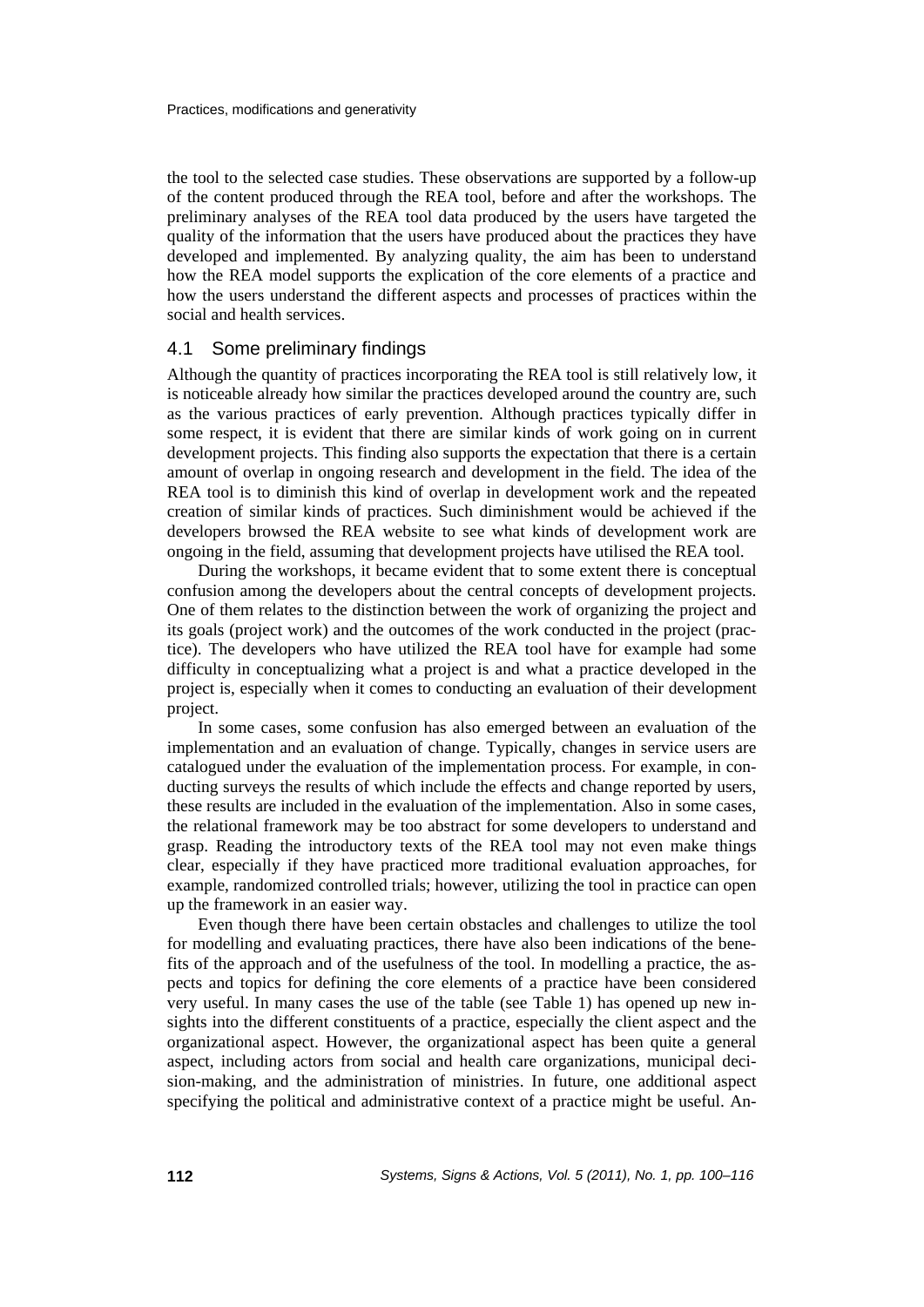the tool to the selected case studies. These observations are supported by a follow-up of the content produced through the REA tool, before and after the workshops. The preliminary analyses of the REA tool data produced by the users have targeted the quality of the information that the users have produced about the practices they have developed and implemented. By analyzing quality, the aim has been to understand how the REA model supports the explication of the core elements of a practice and how the users understand the different aspects and processes of practices within the social and health services.

#### 4.1 Some preliminary findings

Although the quantity of practices incorporating the REA tool is still relatively low, it is noticeable already how similar the practices developed around the country are, such as the various practices of early prevention. Although practices typically differ in some respect, it is evident that there are similar kinds of work going on in current development projects. This finding also supports the expectation that there is a certain amount of overlap in ongoing research and development in the field. The idea of the REA tool is to diminish this kind of overlap in development work and the repeated creation of similar kinds of practices. Such diminishment would be achieved if the developers browsed the REA website to see what kinds of development work are ongoing in the field, assuming that development projects have utilised the REA tool.

During the workshops, it became evident that to some extent there is conceptual confusion among the developers about the central concepts of development projects. One of them relates to the distinction between the work of organizing the project and its goals (project work) and the outcomes of the work conducted in the project (practice). The developers who have utilized the REA tool have for example had some difficulty in conceptualizing what a project is and what a practice developed in the project is, especially when it comes to conducting an evaluation of their development project.

In some cases, some confusion has also emerged between an evaluation of the implementation and an evaluation of change. Typically, changes in service users are catalogued under the evaluation of the implementation process. For example, in conducting surveys the results of which include the effects and change reported by users, these results are included in the evaluation of the implementation. Also in some cases, the relational framework may be too abstract for some developers to understand and grasp. Reading the introductory texts of the REA tool may not even make things clear, especially if they have practiced more traditional evaluation approaches, for example, randomized controlled trials; however, utilizing the tool in practice can open up the framework in an easier way.

Even though there have been certain obstacles and challenges to utilize the tool for modelling and evaluating practices, there have also been indications of the benefits of the approach and of the usefulness of the tool. In modelling a practice, the aspects and topics for defining the core elements of a practice have been considered very useful. In many cases the use of the table (see Table 1) has opened up new insights into the different constituents of a practice, especially the client aspect and the organizational aspect. However, the organizational aspect has been quite a general aspect, including actors from social and health care organizations, municipal decision-making, and the administration of ministries. In future, one additional aspect specifying the political and administrative context of a practice might be useful. An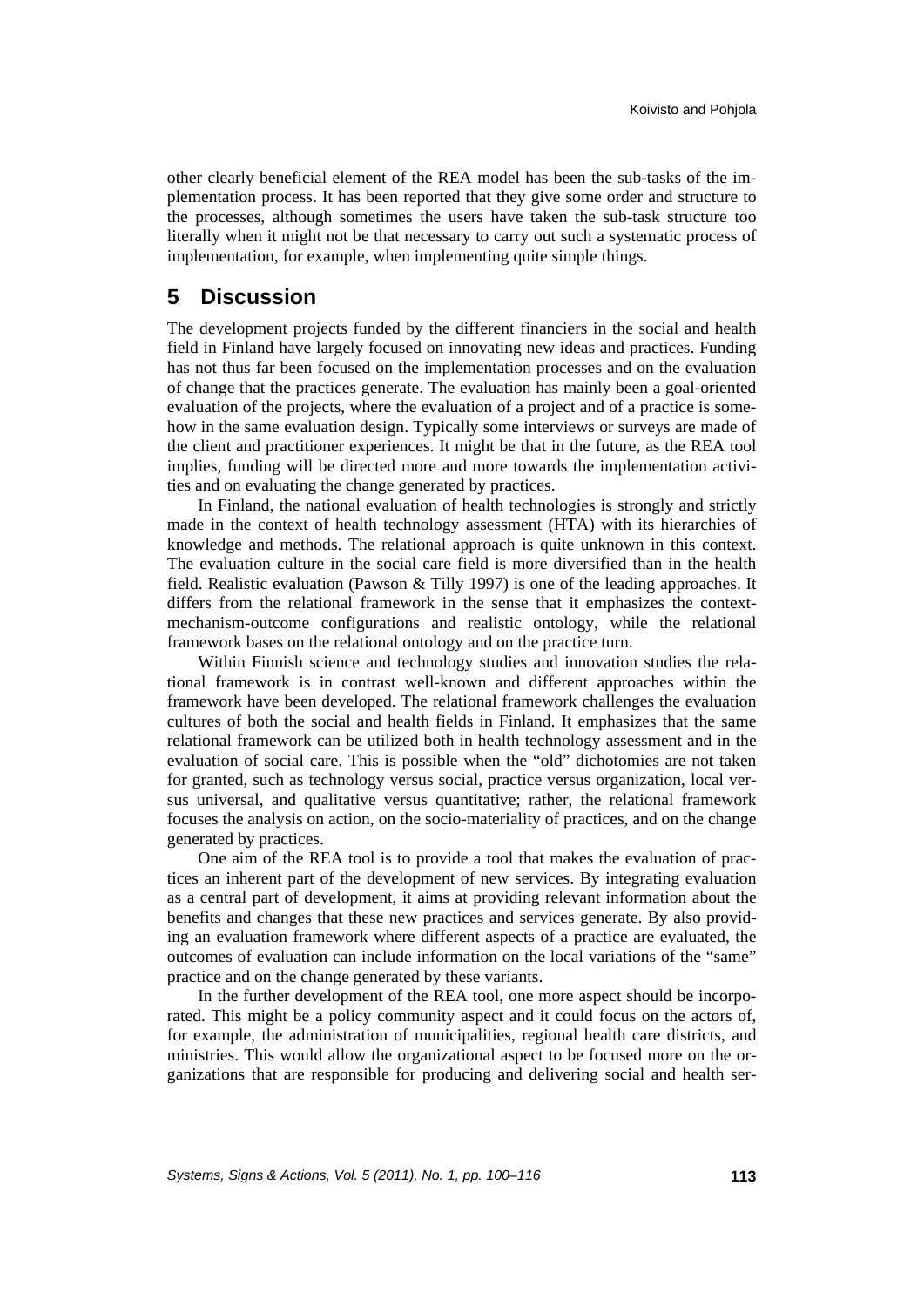other clearly beneficial element of the REA model has been the sub-tasks of the implementation process. It has been reported that they give some order and structure to the processes, although sometimes the users have taken the sub-task structure too literally when it might not be that necessary to carry out such a systematic process of implementation, for example, when implementing quite simple things.

## **5 Discussion**

The development projects funded by the different financiers in the social and health field in Finland have largely focused on innovating new ideas and practices. Funding has not thus far been focused on the implementation processes and on the evaluation of change that the practices generate. The evaluation has mainly been a goal-oriented evaluation of the projects, where the evaluation of a project and of a practice is somehow in the same evaluation design. Typically some interviews or surveys are made of the client and practitioner experiences. It might be that in the future, as the REA tool implies, funding will be directed more and more towards the implementation activities and on evaluating the change generated by practices.

In Finland, the national evaluation of health technologies is strongly and strictly made in the context of health technology assessment (HTA) with its hierarchies of knowledge and methods. The relational approach is quite unknown in this context. The evaluation culture in the social care field is more diversified than in the health field. Realistic evaluation (Pawson & Tilly 1997) is one of the leading approaches. It differs from the relational framework in the sense that it emphasizes the contextmechanism-outcome configurations and realistic ontology, while the relational framework bases on the relational ontology and on the practice turn.

Within Finnish science and technology studies and innovation studies the relational framework is in contrast well-known and different approaches within the framework have been developed. The relational framework challenges the evaluation cultures of both the social and health fields in Finland. It emphasizes that the same relational framework can be utilized both in health technology assessment and in the evaluation of social care. This is possible when the "old" dichotomies are not taken for granted, such as technology versus social, practice versus organization, local versus universal, and qualitative versus quantitative; rather, the relational framework focuses the analysis on action, on the socio-materiality of practices, and on the change generated by practices.

One aim of the REA tool is to provide a tool that makes the evaluation of practices an inherent part of the development of new services. By integrating evaluation as a central part of development, it aims at providing relevant information about the benefits and changes that these new practices and services generate. By also providing an evaluation framework where different aspects of a practice are evaluated, the outcomes of evaluation can include information on the local variations of the "same" practice and on the change generated by these variants.

In the further development of the REA tool, one more aspect should be incorporated. This might be a policy community aspect and it could focus on the actors of, for example, the administration of municipalities, regional health care districts, and ministries. This would allow the organizational aspect to be focused more on the organizations that are responsible for producing and delivering social and health ser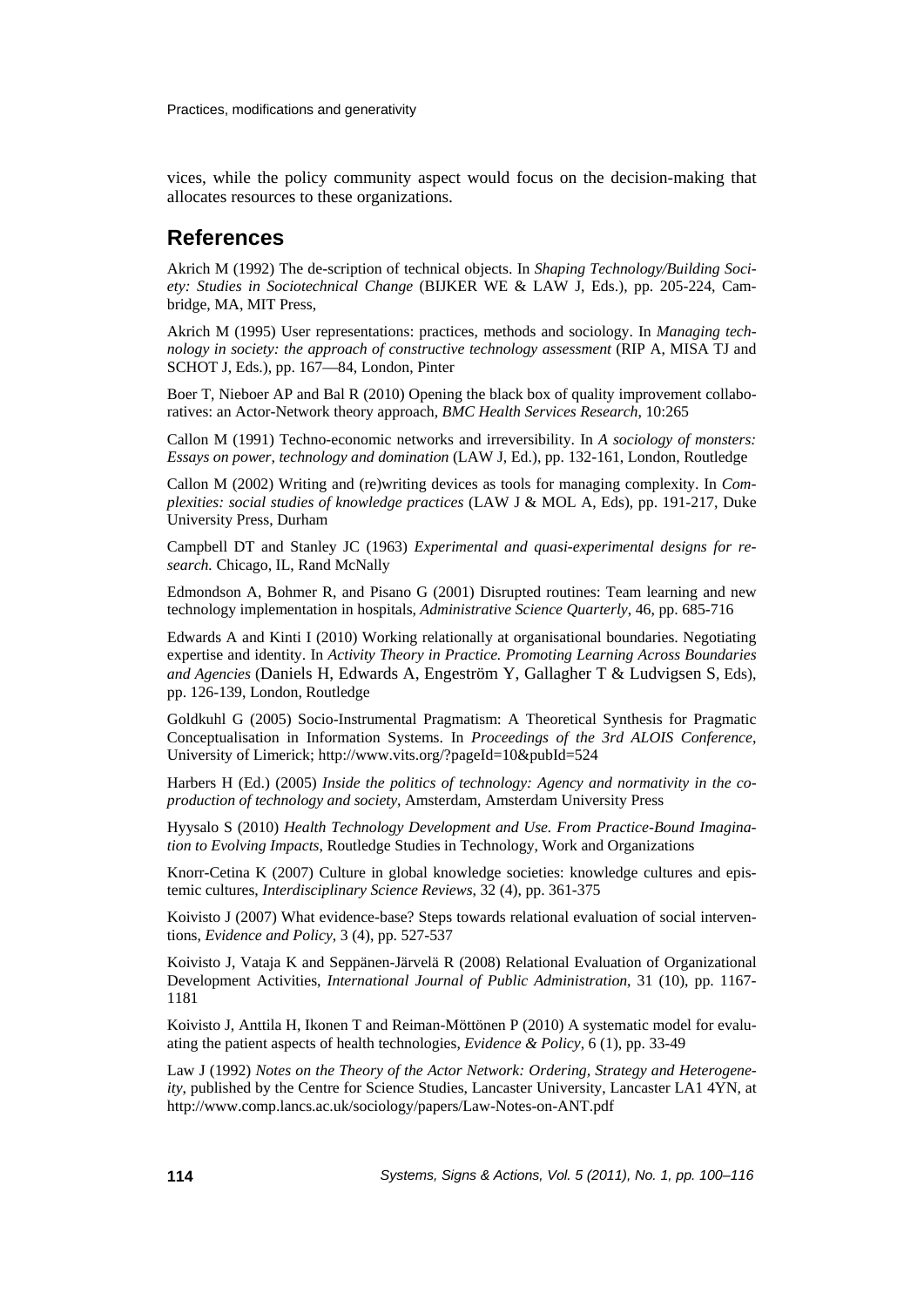vices, while the policy community aspect would focus on the decision-making that allocates resources to these organizations.

### **References**

Akrich M (1992) The de-scription of technical objects. In *Shaping Technology/Building Society: Studies in Sociotechnical Change* (BIJKER WE & LAW J, Eds.), pp. 205-224, Cambridge, MA, MIT Press,

Akrich M (1995) User representations: practices, methods and sociology. In *Managing technology in society: the approach of constructive technology assessment* (RIP A, MISA TJ and SCHOT J, Eds.), pp. 167—84, London, Pinter

Boer T, Nieboer AP and Bal R (2010) Opening the black box of quality improvement collaboratives: an Actor-Network theory approach, *BMC Health Services Research*, 10:265

Callon M (1991) Techno-economic networks and irreversibility. In *A sociology of monsters: Essays on power, technology and domination* (LAW J, Ed.), pp. 132-161, London, Routledge

Callon M (2002) Writing and (re)writing devices as tools for managing complexity. In *Complexities: social studies of knowledge practices* (LAW J & MOL A, Eds), pp. 191-217, Duke University Press, Durham

Campbell DT and Stanley JC (1963) *Experimental and quasi-experimental designs for research.* Chicago, IL, Rand McNally

Edmondson A, Bohmer R, and Pisano G (2001) Disrupted routines: Team learning and new technology implementation in hospitals, *Administrative Science Quarterly*, 46, pp. 685-716

Edwards A and Kinti I (2010) Working relationally at organisational boundaries. Negotiating expertise and identity. In *Activity Theory in Practice. Promoting Learning Across Boundaries and Agencies* (Daniels H, Edwards A, Engeström Y, Gallagher T & Ludvigsen S, Eds), pp. 126-139, London, Routledge

Goldkuhl G (2005) Socio-Instrumental Pragmatism: A Theoretical Synthesis for Pragmatic Conceptualisation in Information Systems. In *Proceedings of the 3rd ALOIS Conference*, University of Limerick; http://www.vits.org/?pageId=10&pubId=524

Harbers H (Ed.) (2005) *Inside the politics of technology: Agency and normativity in the coproduction of technology and society*, Amsterdam, Amsterdam University Press

Hyysalo S (2010) *Health Technology Development and Use. From Practice-Bound Imagination to Evolving Impacts*, Routledge Studies in Technology, Work and Organizations

Knorr-Cetina K (2007) Culture in global knowledge societies: knowledge cultures and epistemic cultures, *Interdisciplinary Science Reviews*, 32 (4), pp. 361-375

Koivisto J (2007) What evidence-base? Steps towards relational evaluation of social interventions, *Evidence and Policy*, 3 (4), pp. 527-537

Koivisto J, Vataja K and Seppänen-Järvelä R (2008) Relational Evaluation of Organizational Development Activities, *International Journal of Public Administration*, 31 (10), pp. 1167- 1181

Koivisto J, Anttila H, Ikonen T and Reiman-Möttönen P (2010) A systematic model for evaluating the patient aspects of health technologies, *Evidence & Policy*, 6 (1), pp. 33-49

Law J (1992) *Notes on the Theory of the Actor Network: Ordering, Strategy and Heterogeneity*, published by the Centre for Science Studies, Lancaster University, Lancaster LA1 4YN, at http://www.comp.lancs.ac.uk/sociology/papers/Law-Notes-on-ANT.pdf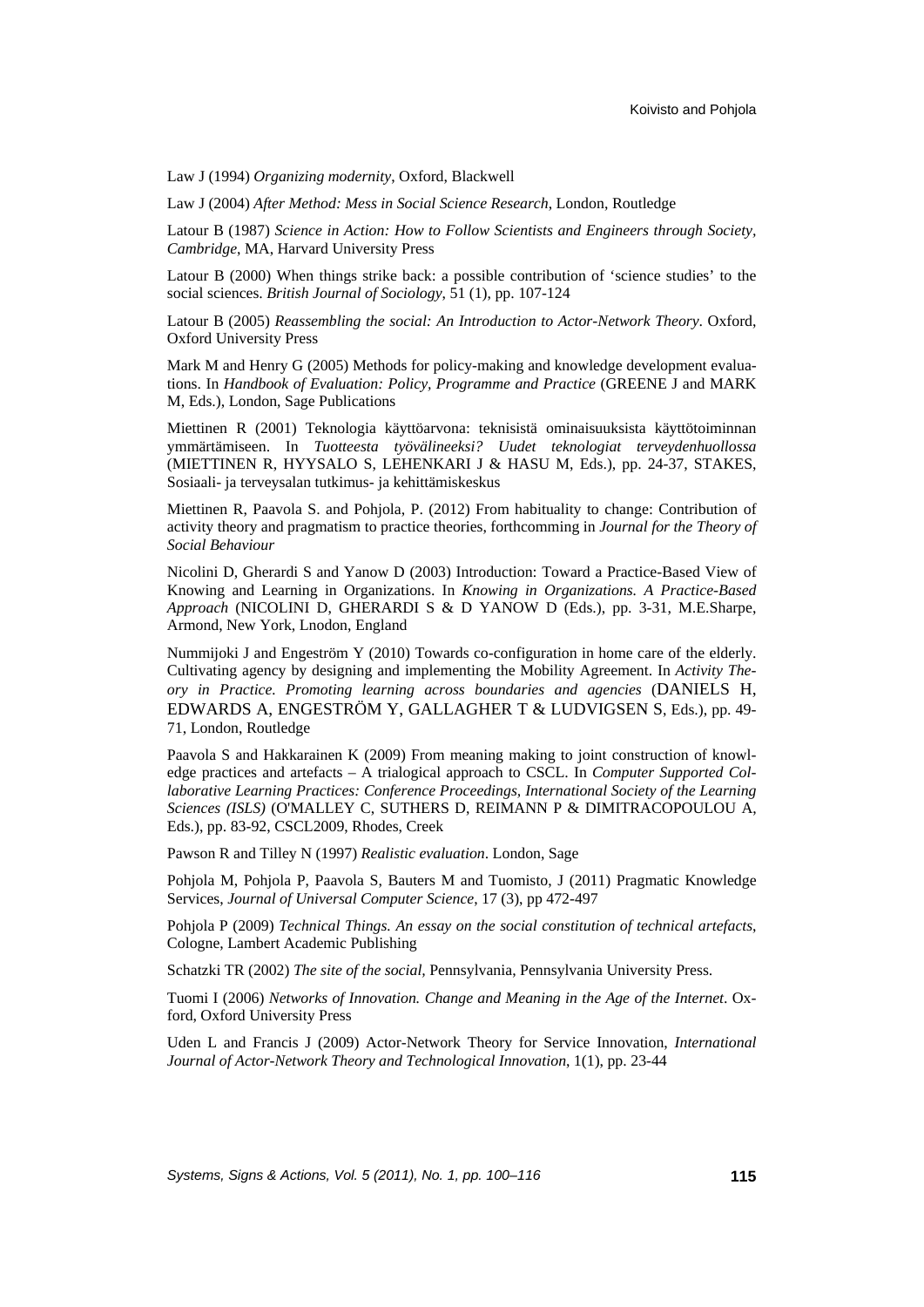Law J (1994) *Organizing modernity*, Oxford, Blackwell

Law J (2004) *After Method: Mess in Social Science Research*, London, Routledge

Latour B (1987) *Science in Action: How to Follow Scientists and Engineers through Society, Cambridge*, MA, Harvard University Press

Latour B (2000) When things strike back: a possible contribution of 'science studies' to the social sciences. *British Journal of Sociology*, 51 (1), pp. 107-124

Latour B (2005) *Reassembling the social: An Introduction to Actor-Network Theory*. Oxford, Oxford University Press

Mark M and Henry G (2005) Methods for policy-making and knowledge development evaluations. In *Handbook of Evaluation: Policy, Programme and Practice* (GREENE J and MARK M, Eds.), London, Sage Publications

Miettinen R (2001) Teknologia käyttöarvona: teknisistä ominaisuuksista käyttötoiminnan ymmärtämiseen. In *Tuotteesta työvälineeksi? Uudet teknologiat terveydenhuollossa* (MIETTINEN R, HYYSALO S, LEHENKARI J & HASU M, Eds.), pp. 24-37, STAKES, Sosiaali- ja terveysalan tutkimus- ja kehittämiskeskus

Miettinen R, Paavola S. and Pohjola, P. (2012) From habituality to change: Contribution of activity theory and pragmatism to practice theories, forthcomming in *Journal for the Theory of Social Behaviour*

Nicolini D, Gherardi S and Yanow D (2003) Introduction: Toward a Practice-Based View of Knowing and Learning in Organizations. In *Knowing in Organizations. A Practice-Based Approach* (NICOLINI D, GHERARDI S & D YANOW D (Eds.), pp. 3-31, M.E.Sharpe, Armond, New York, Lnodon, England

Nummijoki J and Engeström Y (2010) Towards co-configuration in home care of the elderly. Cultivating agency by designing and implementing the Mobility Agreement. In *Activity Theory in Practice. Promoting learning across boundaries and agencies* (DANIELS H, EDWARDS A, ENGESTRÖM Y, GALLAGHER T & LUDVIGSEN S, Eds.), pp. 49- 71, London, Routledge

Paavola S and Hakkarainen K (2009) From meaning making to joint construction of knowledge practices and artefacts – A trialogical approach to CSCL. In *Computer Supported Collaborative Learning Practices: Conference Proceedings, International Society of the Learning Sciences (ISLS)* (O'MALLEY C, SUTHERS D, REIMANN P & DIMITRACOPOULOU A, Eds.), pp. 83-92, CSCL2009, Rhodes, Creek

Pawson R and Tilley N (1997) *Realistic evaluation*. London, Sage

Pohjola M, Pohjola P, Paavola S, Bauters M and Tuomisto, J (2011) Pragmatic Knowledge Services, *Journal of Universal Computer Science*, 17 (3), pp 472-497

Pohjola P (2009) *Technical Things. An essay on the social constitution of technical artefacts*, Cologne, Lambert Academic Publishing

Schatzki TR (2002) *The site of the social,* Pennsylvania, Pennsylvania University Press.

Tuomi I (2006) *Networks of Innovation. Change and Meaning in the Age of the Internet*. Oxford, Oxford University Press

Uden L and Francis J (2009) Actor-Network Theory for Service Innovation, *International Journal of Actor-Network Theory and Technological Innovation*, 1(1), pp. 23-44